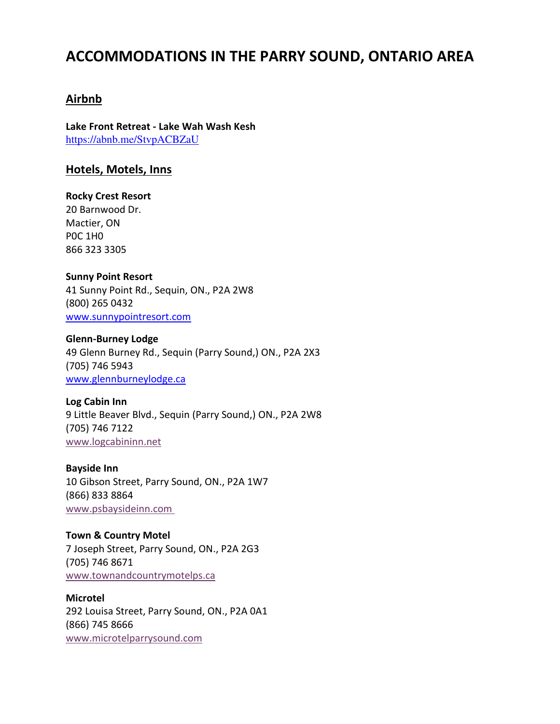# **ACCOMMODATIONS IN THE PARRY SOUND, ONTARIO AREA**

## **Airbnb**

**Lake Front Retreat - Lake Wah Wash Kesh**  <https://abnb.me/StvpACBZaU>

## **Hotels, Motels, Inns**

**Rocky Crest Resort**  20 Barnwood Dr. Mactier, ON P0C 1H0 866 323 3305

## **Sunny Point Resort**

41 Sunny Point Rd., Sequin, ON., P2A 2W8 (800) 265 0432 [www.sunnypointresort.com](http://www.sunnypointresort.com/)

### **Glenn-Burney Lodge**

49 Glenn Burney Rd., Sequin (Parry Sound,) ON., P2A 2X3 (705) 746 5943 [www.glennburneylodge.ca](http://www.glennburneylodge.ca/)

### **Log Cabin Inn**

9 Little Beaver Blvd., Sequin (Parry Sound,) ON., P2A 2W8 (705) 746 7122 www.logcabininn.net

**Bayside Inn**

10 Gibson Street, Parry Sound, ON., P2A 1W7 (866) 833 8864 [www.psbaysideinn.com](http://www.psbaysideinn.com/) 

**Town & Country Motel** 7 Joseph Street, Parry Sound, ON., P2A 2G3 (705) 746 8671 [www.townandcountrymotelps.ca](http://www.townandcountrymotelps.ca/) 

**Microtel** 292 Louisa Street, Parry Sound, ON., P2A 0A1 (866) 745 8666 [www.microtelparrysound.com](http://www.microtelparrysound.com/)